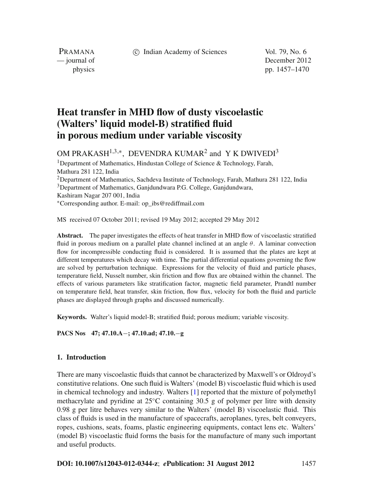c Indian Academy of Sciences Vol. 79, No. 6

PRAMANA

— journal of December 2012 physics pp. 1457–1470

# **Heat transfer in MHD flow of dusty viscoelastic (Walters' liquid model-B) stratified fluid in porous medium under variable viscosity**

OM PRAKASH<sup>1,3,∗</sup>, DEVENDRA KUMAR<sup>2</sup> and Y K DWIVEDI<sup>3</sup>

<sup>1</sup>Department of Mathematics, Hindustan College of Science & Technology, Farah, Mathura 281 122, India 2Department of Mathematics, Sachdeva Institute of Technology, Farah, Mathura 281 122, India <sup>3</sup>Department of Mathematics, Ganjdundwara P.G. College, Ganjdundwara, Kashiram Nagar 207 001, India <sup>∗</sup>Corresponding author. E-mail: op\_ibs@rediffmail.com

MS received 07 October 2011; revised 19 May 2012; accepted 29 May 2012

**Abstract.** The paper investigates the effects of heat transfer in MHD flow of viscoelastic stratified fluid in porous medium on a parallel plate channel inclined at an angle  $\theta$ . A laminar convection flow for incompressible conducting fluid is considered. It is assumed that the plates are kept at different temperatures which decay with time. The partial differential equations governing the flow are solved by perturbation technique. Expressions for the velocity of fluid and particle phases, temperature field, Nusselt number, skin friction and flow flux are obtained within the channel. The effects of various parameters like stratification factor, magnetic field parameter, Prandtl number on temperature field, heat transfer, skin friction, flow flux, velocity for both the fluid and particle phases are displayed through graphs and discussed numerically.

**Keywords.** Walter's liquid model-B; stratified fluid; porous medium; variable viscosity.

**PACS Nos 47; 47.10.A**−**; 47.10.ad; 47.10.**−**g**

## **1. Introduction**

There are many viscoelastic fluids that cannot be characterized by Maxwell's or Oldroyd's constitutive relations. One such fluid is Walters' (model B) viscoelastic fluid which is used in chemical technology and industry. Walters [\[1\]](#page-13-0) reported that the mixture of polymethyl methacrylate and pyridine at 25◦C containing 30.5 g of polymer per litre with density 0.98 g per litre behaves very similar to the Walters' (model B) viscoelastic fluid. This class of fluids is used in the manufacture of spacecrafts, aeroplanes, tyres, belt conveyers, ropes, cushions, seats, foams, plastic engineering equipments, contact lens etc. Walters' (model B) viscoelastic fluid forms the basis for the manufacture of many such important and useful products.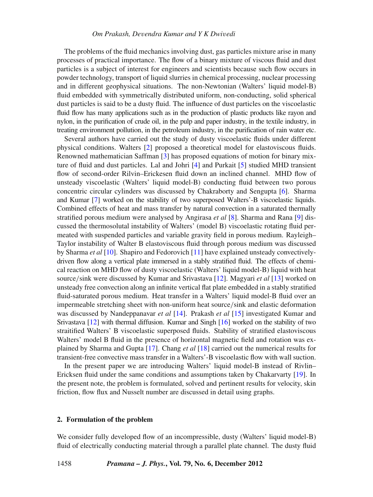The problems of the fluid mechanics involving dust, gas particles mixture arise in many processes of practical importance. The flow of a binary mixture of viscous fluid and dust particles is a subject of interest for engineers and scientists because such flow occurs in powder technology, transport of liquid slurries in chemical processing, nuclear processing and in different geophysical situations. The non-Newtonian (Walters' liquid model-B) fluid embedded with symmetrically distributed uniform, non-conducting, solid spherical dust particles is said to be a dusty fluid. The influence of dust particles on the viscoelastic fluid flow has many applications such as in the production of plastic products like rayon and nylon, in the purification of crude oil, in the pulp and paper industry, in the textile industry, in treating environment pollution, in the petroleum industry, in the purification of rain water etc.

Several authors have carried out the study of dusty viscoelastic fluids under different physical conditions. Walters [\[2](#page-13-1)] proposed a theoretical model for elastoviscous fluids. Renowned mathematician Saffman [\[3](#page-13-2)] has proposed equations of motion for binary mixture of fluid and dust particles. Lal and Johri [\[4\]](#page-13-3) and Purkait [\[5\]](#page-13-4) studied MHD transient flow of second-order Rilvin–Erickesen fluid down an inclined channel. MHD flow of unsteady viscoelastic (Walters' liquid model-B) conducting fluid between two porous concentric circular cylinders was discussed by Chakraborty and Sengupta [\[6](#page-13-5)]. Sharma and Kumar [\[7\]](#page-13-6) worked on the stability of two superposed Walters'-B viscoelastic liquids. Combined effects of heat and mass transfer by natural convection in a saturated thermally stratified porous medium were analysed by Angirasa *et al* [\[8\]](#page-13-7). Sharma and Rana [\[9](#page-13-8)] discussed the thermosolutal instability of Walters' (model B) viscoelastic rotating fluid permeated with suspended particles and variable gravity field in porous medium. Rayleigh– Taylor instability of Walter B elastoviscous fluid through porous medium was discussed by Sharma *et al* [\[10](#page-13-9)]. Shapiro and Fedorovich [\[11](#page-13-10)] have explained unsteady convectivelydriven flow along a vertical plate immersed in a stably stratified fluid. The effects of chemical reaction on MHD flow of dusty viscoelastic (Walters' liquid model-B) liquid with heat source/sink were discussed by Kumar and Srivastava [\[12\]](#page-13-11). Magyari *et al* [\[13](#page-13-12)] worked on unsteady free convection along an infinite vertical flat plate embedded in a stably stratified fluid-saturated porous medium. Heat transfer in a Walters' liquid model-B fluid over an impermeable stretching sheet with non-uniform heat source/sink and elastic deformation was discussed by Nandeppanavar *et al* [\[14](#page-13-13)]. Prakash *et al* [\[15](#page-13-14)] investigated Kumar and Srivastava [\[12\]](#page-13-11) with thermal diffusion. Kumar and Singh [\[16\]](#page-13-15) worked on the stability of two straitified Walters' B viscoelastic superposed fluids. Stability of stratified elastoviscous Walters' model B fluid in the presence of horizontal magnetic field and rotation was explained by Sharma and Gupta [\[17\]](#page-13-16). Chang *et al* [\[18\]](#page-13-17) carried out the numerical results for transient-free convective mass transfer in a Walters'-B viscoelastic flow with wall suction.

In the present paper we are introducing Walters' liquid model-B instead of Rivlin– Ericksen fluid under the same conditions and assumptions taken by Chakarvarty [\[19\]](#page-13-18). In the present note, the problem is formulated, solved and pertinent results for velocity, skin friction, flow flux and Nusselt number are discussed in detail using graphs.

#### **2. Formulation of the problem**

We consider fully developed flow of an incompressible, dusty (Walters' liquid model-B) fluid of electrically conducting material through a parallel plate channel. The dusty fluid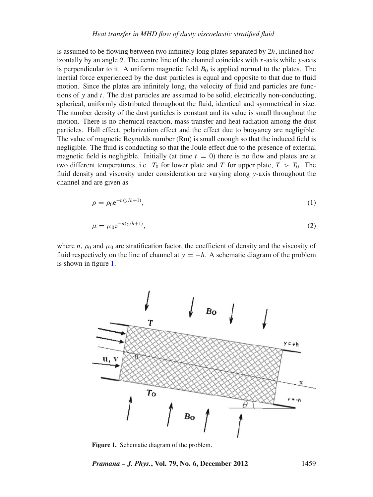is assumed to be flowing between two infinitely long plates separated by 2*h*, inclined horizontally by an angle  $\theta$ . The centre line of the channel coincides with *x*-axis while *y*-axis is perpendicular to it. A uniform magnetic field  $B_0$  is applied normal to the plates. The inertial force experienced by the dust particles is equal and opposite to that due to fluid motion. Since the plates are infinitely long, the velocity of fluid and particles are functions of *y* and *t*. The dust particles are assumed to be solid, electrically non-conducting, spherical, uniformly distributed throughout the fluid, identical and symmetrical in size. The number density of the dust particles is constant and its value is small throughout the motion. There is no chemical reaction, mass transfer and heat radiation among the dust particles. Hall effect, polarization effect and the effect due to buoyancy are negligible. The value of magnetic Reynolds number (Rm) is small enough so that the induced field is negligible. The fluid is conducting so that the Joule effect due to the presence of external magnetic field is negligible. Initially (at time  $t = 0$ ) there is no flow and plates are at two different temperatures, i.e.  $T_0$  for lower plate and *T* for upper plate,  $T > T_0$ . The fluid density and viscosity under consideration are varying along *y*-axis throughout the channel and are given as

$$
\rho = \rho_0 e^{-n(y/h+1)},\tag{1}
$$

$$
\mu = \mu_0 e^{-n(y/h+1)},\tag{2}
$$

where  $n$ ,  $\rho_0$  and  $\mu_0$  are stratification factor, the coefficient of density and the viscosity of fluid respectively on the line of channel at  $y = -h$ . A schematic diagram of the problem is shown in figure [1.](#page-2-0)

<span id="page-2-0"></span>

**Figure 1.** Schematic diagram of the problem.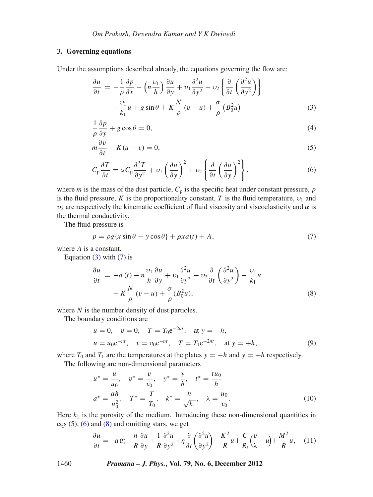## **3. Governing equations**

Under the assumptions described already, the equations governing the flow are:

<span id="page-3-0"></span>
$$
\frac{\partial u}{\partial t} = -\frac{1}{\rho} \frac{\partial p}{\partial x} - \left( n \frac{\nu_1}{h} \right) \frac{\partial u}{\partial y} + \nu_1 \frac{\partial^2 u}{\partial y^2} - \nu_2 \left\{ \frac{\partial}{\partial t} \left( \frac{\partial^2 u}{\partial y^2} \right) \right\} \n- \frac{\nu_1}{k_1} u + g \sin \theta + K \frac{N}{\rho} (v - u) + \frac{\sigma}{\rho} (B_0^2 u)
$$
\n(3)

<span id="page-3-2"></span>
$$
\frac{1}{\rho} \frac{\partial p}{\partial y} + g \cos \theta = 0,\tag{4}
$$

<span id="page-3-3"></span>
$$
m\frac{\partial v}{\partial t} - K(u - v) = 0,\tag{5}
$$

$$
C_{\mathbf{p}}\frac{\partial T}{\partial t} = \alpha C_{\mathbf{p}}\frac{\partial^2 T}{\partial y^2} + \nu_1 \left(\frac{\partial u}{\partial y}\right)^2 + \nu_2 \left\{\frac{\partial}{\partial t} \left(\frac{\partial u}{\partial y}\right)^2\right\},\tag{6}
$$

where *m* is the mass of the dust particle,  $C_p$  is the specific heat under constant pressure,  $p$ is the fluid pressure, *K* is the proportionality constant, *T* is the fluid temperature,  $v_1$  and  $v_2$  are respectively the kinematic coefficient of fluid viscosity and viscoelasticity and  $\alpha$  is the thermal conductivity.

The fluid pressure is

<span id="page-3-1"></span>
$$
p = \rho g \{ x \sin \theta - y \cos \theta \} + \rho x a(t) + A,\tag{7}
$$

where *A* is a constant.

Equation  $(3)$  with  $(7)$  is

<span id="page-3-4"></span>
$$
\frac{\partial u}{\partial t} = -a(t) - n \frac{\nu_1}{h} \frac{\partial u}{\partial y} + \nu_1 \frac{\partial^2 u}{\partial y^2} - \nu_2 \frac{\partial}{\partial t} \left( \frac{\partial^2 u}{\partial y^2} \right) - \frac{\nu_1}{k_1} u
$$

$$
+ K \frac{N}{\rho} (v - u) + \frac{\sigma}{\rho} (B_0^2 u), \tag{8}
$$

where *N* is the number density of dust particles.

The boundary conditions are

$$
u = 0
$$
,  $v = 0$ ,  $T = T_0 e^{-2nt}$ , at  $y = -h$ ,  
\n $u = u_0 e^{-nt}$ ,  $v = v_0 e^{-nt}$ ,  $T = T_1 e^{-2nt}$ , at  $y = +h$ , (9)

where  $T_0$  and  $T_1$  are the temperatures at the plates  $y = -h$  and  $y = +h$  respectively.

The following are non-dimensional parameters

$$
u^* = \frac{u}{u_0}, \quad v^* = \frac{v}{v_0}, \quad y^* = \frac{y}{h}, \quad t^* = \frac{tu_0}{h}
$$
  

$$
a^* = \frac{ah}{u_0^2}, \quad T^* = \frac{T}{T_0}, \quad k^* = \frac{h}{\sqrt{k_1}}, \quad \lambda = \frac{u_0}{v_0}.
$$
 (10)

Here  $k_1$  is the porosity of the medium. Introducing these non-dimensional quantities in eqs  $(5)$ ,  $(6)$  and  $(8)$  and omitting stars, we get

<span id="page-3-5"></span>
$$
\frac{\partial u}{\partial t} = -a(t) - \frac{n}{R} \frac{\partial u}{\partial y} + \frac{1}{R} \frac{\partial^2 u}{\partial y^2} + \eta \frac{\partial}{\partial t} \left( \frac{\partial^2 u}{\partial y^2} \right) - \frac{K^2}{R} u + \frac{C}{R_t} \left( \frac{v}{\lambda} - u \right) + \frac{M^2}{R} u, \quad (11)
$$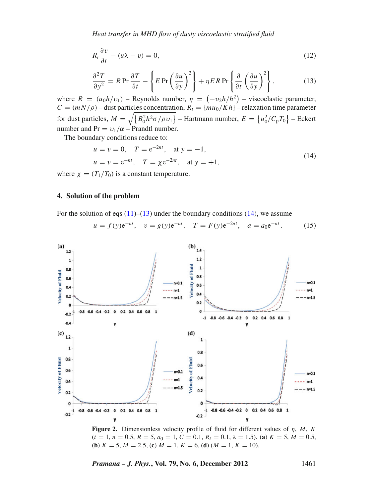$$
R_t \frac{\partial v}{\partial t} - (u\lambda - v) = 0,\tag{12}
$$

$$
\frac{\partial^2 T}{\partial y^2} = R \operatorname{Pr} \frac{\partial T}{\partial t} - \left\{ E \operatorname{Pr} \left( \frac{\partial u}{\partial y} \right)^2 \right\} + \eta E R \operatorname{Pr} \left\{ \frac{\partial}{\partial t} \left( \frac{\partial u}{\partial y} \right)^2 \right\},\tag{13}
$$

<span id="page-4-0"></span>where  $R = (u_0 h/v_1)$  – Reynolds number,  $\eta = (-v_2 h/h^2)$  – viscoelastic parameter,  $C = (mN/\rho)$  – dust particles concentration,  $R_t = \{mu_0/Kh\}$  – relaxation time parameter for dust particles,  $M = \sqrt{\{B_0^2 h^2 \sigma / \rho v_1\}}$  – Hartmann number,  $E = \{u_0^2 / C_p T_0\}$  – Eckert number and Pr =  $v_1/\alpha$  – Prandtl number.

The boundary conditions reduce to:

<span id="page-4-1"></span>
$$
u = v = 0
$$
,  $T = e^{-2nt}$ , at  $y = -1$ ,  
\n $u = v = e^{-nt}$ ,  $T = \chi e^{-2nt}$ , at  $y = +1$ , (14)

where  $\chi = (T_1/T_0)$  is a constant temperature.

#### **4. Solution of the problem**

For the solution of eqs  $(11)$ – $(13)$  under the boundary conditions  $(14)$ , we assume

<span id="page-4-2"></span>
$$
u = f(y)e^{-nt}
$$
,  $v = g(y)e^{-nt}$ ,  $T = F(y)e^{-2nt}$ ,  $a = a_0e^{-nt}$ . (15)

<span id="page-4-3"></span>

**Figure 2.** Dimensionless velocity profile of fluid for different values of η, *M*, *K*  $(t = 1, n = 0.5, R = 5, a_0 = 1, C = 0.1, R_t = 0.1, \lambda = 1.5)$ . (**a**)  $K = 5, M = 0.5,$ (**b**)  $K = 5, M = 2.5$ , (**c**)  $M = 1, K = 6$ , (**d**)  $(M = 1, K = 10)$ .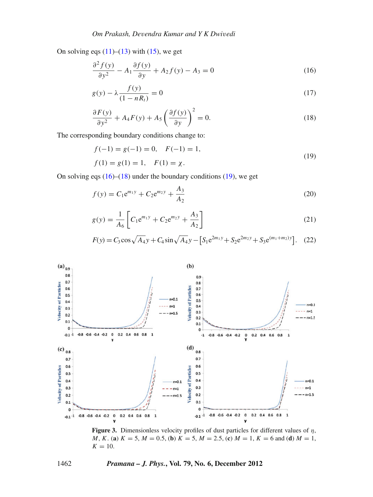On solving eqs  $(11)$ – $(13)$  with  $(15)$ , we get

<span id="page-5-0"></span>
$$
\frac{\partial^2 f(y)}{\partial y^2} - A_1 \frac{\partial f(y)}{\partial y} + A_2 f(y) - A_3 = 0 \tag{16}
$$

<span id="page-5-1"></span>
$$
g(y) - \lambda \frac{f(y)}{(1 - nR_t)} = 0
$$
\n(17)

$$
\frac{\partial F(y)}{\partial y^2} + A_4 F(y) + A_5 \left(\frac{\partial f(y)}{\partial y}\right)^2 = 0.
$$
 (18)

The corresponding boundary conditions change to:

<span id="page-5-2"></span>
$$
f(-1) = g(-1) = 0, \quad F(-1) = 1,
$$
  
\n
$$
f(1) = g(1) = 1, \quad F(1) = \chi.
$$
\n(19)

<span id="page-5-4"></span>On solving eqs  $(16)$ – $(18)$  under the boundary conditions  $(19)$ , we get

<span id="page-5-3"></span>
$$
f(y) = C_1 e^{m_1 y} + C_2 e^{m_2 y} + \frac{A_3}{A_2}
$$
 (20)

$$
g(y) = \frac{1}{A_6} \left[ C_1 e^{m_1 y} + C_2 e^{m_2 y} + \frac{A_3}{A_2} \right]
$$
 (21)

$$
F(y) = C_3 \cos\sqrt{A_4} y + C_4 \sin\sqrt{A_4} y - \left[S_1 e^{2m_1 y} + S_2 e^{2m_2 y} + S_3 e^{(m_1 + m_2) y}\right].
$$
 (22)

<span id="page-5-5"></span>

**Figure 3.** Dimensionless velocity profiles of dust particles for different values of η, *M*, *K*. (a)  $K = 5$ ,  $M = 0.5$ , (b)  $K = 5$ ,  $M = 2.5$ , (c)  $M = 1$ ,  $K = 6$  and (d)  $M = 1$ ,  $K = 10$ .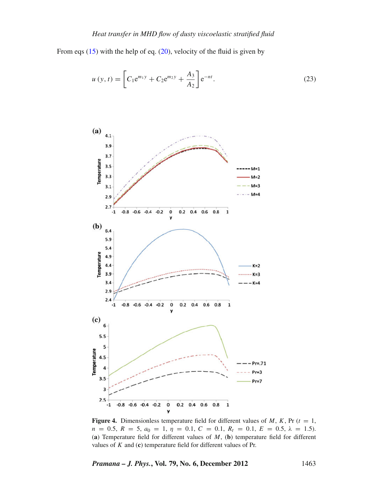From eqs  $(15)$  with the help of eq.  $(20)$ , velocity of the fluid is given by

$$
u(y,t) = \left[C_1 e^{m_1 y} + C_2 e^{m_2 y} + \frac{A_3}{A_2}\right] e^{-nt}.
$$
 (23)

<span id="page-6-0"></span>

**Figure 4.** Dimensionless temperature field for different values of  $M$ ,  $K$ , Pr ( $t = 1$ ,  $n = 0.5, R = 5, a_0 = 1, \eta = 0.1, C = 0.1, R_t = 0.1, E = 0.5, \lambda = 1.5$ . (**a**) Temperature field for different values of *M*, (**b**) temperature field for different values of *K* and (**c**) temperature field for different values of Pr.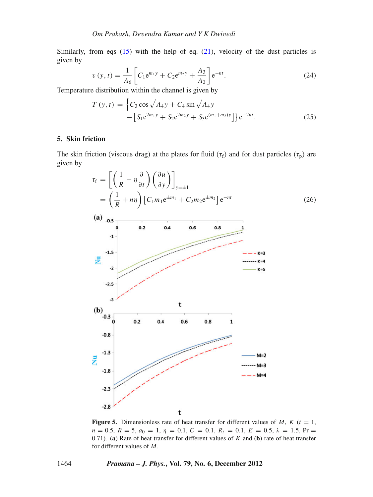Similarly, from eqs  $(15)$  with the help of eq.  $(21)$ , velocity of the dust particles is given by

$$
v(y,t) = \frac{1}{A_6} \left[ C_1 e^{m_1 y} + C_2 e^{m_2 y} + \frac{A_3}{A_2} \right] e^{-nt}.
$$
 (24)

Temperature distribution within the channel is given by

$$
T(y,t) = \left\{ C_3 \cos \sqrt{A_4} y + C_4 \sin \sqrt{A_4} y - \left[ S_1 e^{2m_1 y} + S_2 e^{2m_2 y} + S_3 e^{(m_1 + m_2) y} \right] \right\} e^{-2nt}.
$$
 (25)

#### **5. Skin friction**

The skin friction (viscous drag) at the plates for fluid ( $\tau_f$ ) and for dust particles ( $\tau_p$ ) are given by

<span id="page-7-0"></span>

**Figure 5.** Dimensionless rate of heat transfer for different values of *M*,  $K$  ( $t = 1$ ,  $n = 0.5, R = 5, a_0 = 1, \eta = 0.1, C = 0.1, R_t = 0.1, E = 0.5, \lambda = 1.5, Pr =$ 0.71). (**a**) Rate of heat transfer for different values of *K* and (**b**) rate of heat transfer for different values of *M*.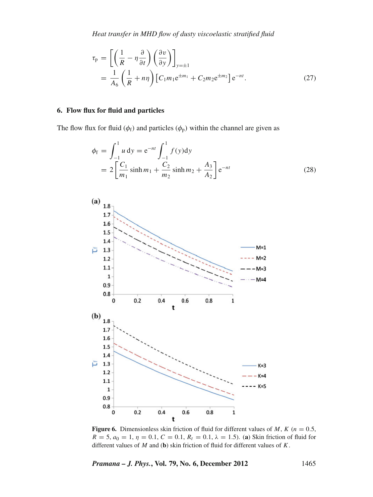*Heat transfer in MHD flow of dusty* v*iscoelastic stratified fluid*

$$
\tau_{\rm p} = \left[ \left( \frac{1}{R} - \eta \frac{\partial}{\partial t} \right) \left( \frac{\partial v}{\partial y} \right) \right]_{y=\pm 1}
$$
  
= 
$$
\frac{1}{A_6} \left( \frac{1}{R} + n\eta \right) \left[ C_1 m_1 e^{\pm m_1} + C_2 m_2 e^{\pm m_2} \right] e^{-nt}.
$$
 (27)

## **6. Flow flux for fluid and particles**

The flow flux for fluid ( $\phi_f$ ) and particles ( $\phi_p$ ) within the channel are given as

$$
\phi_{\rm f} = \int_{-1}^{1} u \, \mathrm{d}y = e^{-nt} \int_{-1}^{1} f(y) \, \mathrm{d}y
$$
\n
$$
= 2 \left[ \frac{C_1}{m_1} \sinh m_1 + \frac{C_2}{m_2} \sinh m_2 + \frac{A_3}{A_2} \right] e^{-nt} \tag{28}
$$

<span id="page-8-0"></span>

**Figure 6.** Dimensionless skin friction of fluid for different values of *M*,  $K$  ( $n = 0.5$ ,  $R = 5$ ,  $a_0 = 1$ ,  $\eta = 0.1$ ,  $C = 0.1$ ,  $R_t = 0.1$ ,  $\lambda = 1.5$ ). (a) Skin friction of fluid for different values of *M* and (**b**) skin friction of fluid for different values of *K*.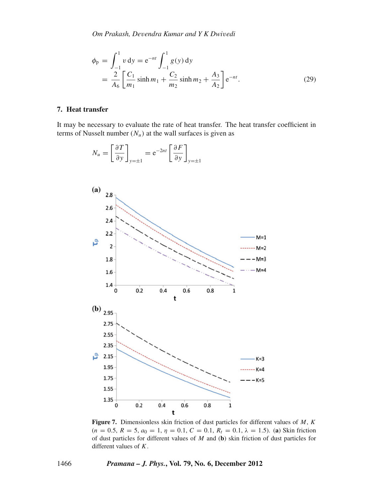$$
\phi_{\rm p} = \int_{-1}^{1} v \, \mathrm{d}y = e^{-nt} \int_{-1}^{1} g(y) \, \mathrm{d}y
$$
\n
$$
= \frac{2}{A_6} \left[ \frac{C_1}{m_1} \sinh m_1 + \frac{C_2}{m_2} \sinh m_2 + \frac{A_3}{A_2} \right] e^{-nt}.\tag{29}
$$

## **7. Heat transfer**

It may be necessary to evaluate the rate of heat transfer. The heat transfer coefficient in terms of Nusselt number  $(N_u)$  at the wall surfaces is given as

<span id="page-9-0"></span>

**Figure 7.** Dimensionless skin friction of dust particles for different values of *M*, *K*  $(n = 0.5, R = 5, a_0 = 1, \eta = 0.1, C = 0.1, R_t = 0.1, \lambda = 1.5)$ . (a) Skin friction of dust particles for different values of *M* and (**b**) skin friction of dust particles for different values of *K*.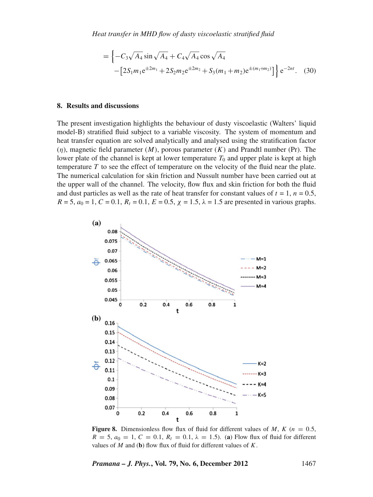$$
= \left\{-C_3\sqrt{A_4}\sin\sqrt{A_4} + C_4\sqrt{A_4}\cos\sqrt{A_4} - \left[2S_1m_1e^{\pm 2m_1} + 2S_2m_2e^{\pm 2m_2} + S_3(m_1+m_2)e^{\pm (m_1+m_2)}\right]\right\}e^{-2nt}.
$$
 (30)

#### **8. Results and discussions**

The present investigation highlights the behaviour of dusty viscoelastic (Walters' liquid model-B) stratified fluid subject to a variable viscosity. The system of momentum and heat transfer equation are solved analytically and analysed using the stratification factor  $(\eta)$ , magnetic field parameter  $(M)$ , porous parameter  $(K)$  and Prandtl number (Pr). The lower plate of the channel is kept at lower temperature  $T_0$  and upper plate is kept at high temperature *T* to see the effect of temperature on the velocity of the fluid near the plate. The numerical calculation for skin friction and Nussult number have been carried out at the upper wall of the channel. The velocity, flow flux and skin friction for both the fluid and dust particles as well as the rate of heat transfer for constant values of  $t = 1$ ,  $n = 0.5$ ,  $R = 5$ ,  $a_0 = 1$ ,  $C = 0.1$ ,  $R_t = 0.1$ ,  $E = 0.5$ ,  $\chi = 1.5$ ,  $\lambda = 1.5$  are presented in various graphs.

<span id="page-10-0"></span>

**Figure 8.** Dimensionless flow flux of fluid for different values of *M*,  $K(n = 0.5$ , *R* = 5,  $a_0 = 1$ ,  $C = 0.1$ ,  $R_t = 0.1$ ,  $\lambda = 1.5$ ). (a) Flow flux of fluid for different values of *M* and (**b**) flow flux of fluid for different values of *K*.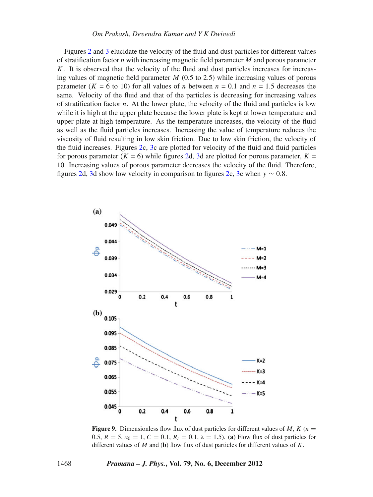#### *Om Prakash, De*v*endra Kumar and Y K Dwi*v*edi*

Figures [2](#page-4-3) and [3](#page-5-5) elucidate the velocity of the fluid and dust particles for different values of stratification factor *n* with increasing magnetic field parameter *M* and porous parameter *K*. It is observed that the velocity of the fluid and dust particles increases for increasing values of magnetic field parameter *M* (0.5 to 2.5) while increasing values of porous parameter  $(K = 6$  to 10) for all values of *n* between  $n = 0.1$  and  $n = 1.5$  decreases the same. Velocity of the fluid and that of the particles is decreasing for increasing values of stratification factor *n*. At the lower plate, the velocity of the fluid and particles is low while it is high at the upper plate because the lower plate is kept at lower temperature and upper plate at high temperature. As the temperature increases, the velocity of the fluid as well as the fluid particles increases. Increasing the value of temperature reduces the viscosity of fluid resulting in low skin friction. Due to low skin friction, the velocity of the fluid increases. Figures [2c](#page-4-3), [3c](#page-5-5) are plotted for velocity of the fluid and fluid particles for porous parameter ( $K = 6$ ) while figures [2d](#page-4-3), [3d](#page-5-5) are plotted for porous parameter,  $K =$ 10. Increasing values of porous parameter decreases the velocity of the fluid. Therefore, figures [2d](#page-4-3), [3d](#page-5-5) show low velocity in comparison to figures [2c](#page-4-3), [3c](#page-5-5) when  $y \sim 0.8$ .

<span id="page-11-0"></span>

**Figure 9.** Dimensionless flow flux of dust particles for different values of *M*,  $K(n = 1)$ 0.5,  $R = 5$ ,  $a_0 = 1$ ,  $C = 0.1$ ,  $R_t = 0.1$ ,  $\lambda = 1.5$ ). (a) Flow flux of dust particles for different values of *M* and (**b**) flow flux of dust particles for different values of *K*.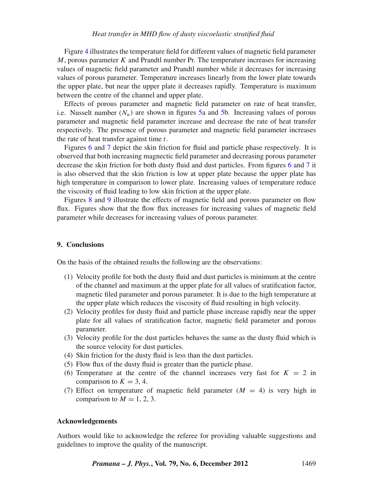#### *Heat transfer in MHD flow of dusty* v*iscoelastic stratified fluid*

Figure [4](#page-6-0) illustrates the temperature field for different values of magnetic field parameter *M*, porous parameter *K* and Prandtl number Pr. The temperature increases for increasing values of magnetic field parameter and Prandtl number while it decreases for increasing values of porous parameter. Temperature increases linearly from the lower plate towards the upper plate, but near the upper plate it decreases rapidly. Temperature is maximum between the centre of the channel and upper plate.

Effects of porous parameter and magnetic field parameter on rate of heat transfer, i.e. Nusselt number  $(N_u)$  are shown in figures [5a](#page-7-0) and [5b](#page-7-0). Increasing values of porous parameter and magnetic field parameter increase and decrease the rate of heat transfer respectively. The presence of porous parameter and magnetic field parameter increases the rate of heat transfer against time *t*.

Figures [6](#page-8-0) and [7](#page-9-0) depict the skin friction for fluid and particle phase respectively. It is observed that both increasing magnectic field parameter and decreasing porous parameter decrease the skin friction for both dusty fluid and dust particles. From figures [6](#page-8-0) and [7](#page-9-0) it is also observed that the skin friction is low at upper plate because the upper plate has high temperature in comparison to lower plate. Increasing values of temperature reduce the viscosity of fluid leading to low skin friction at the upper plate.

Figures [8](#page-10-0) and [9](#page-11-0) illustrate the effects of magnetic field and porous parameter on flow flux. Figures show that the flow flux increases for increasing values of magnetic field parameter while decreases for increasing values of porous parameter.

#### **9. Conclusions**

On the basis of the obtained results the following are the observations:

- (1) Velocity profile for both the dusty fluid and dust particles is minimum at the centre of the channel and maximum at the upper plate for all values of sratification factor, magnetic filed parameter and porous parameter. It is due to the high temperature at the upper plate which reduces the viscosity of fluid resulting in high velocity.
- (2) Velocity profiles for dusty fluid and particle phase increase rapidly near the upper plate for all values of stratification factor, magnetic field parameter and porous parameter.
- (3) Velocity profile for the dust particles behaves the same as the dusty fluid which is the source velocity for dust particles.
- (4) Skin friction for the dusty fluid is less than the dust particles.
- (5) Flow flux of the dusty fluid is greater than the particle phase.
- (6) Temperature at the centre of the channel increases very fast for  $K = 2$  in comparison to  $K = 3, 4$ .
- (7) Effect on temperature of magnetic field parameter  $(M = 4)$  is very high in comparison to  $M = 1, 2, 3$ .

#### **Acknowledgements**

Authors would like to acknowledge the referee for providing valuable suggestions and guidelines to improve the quality of the manuscript.